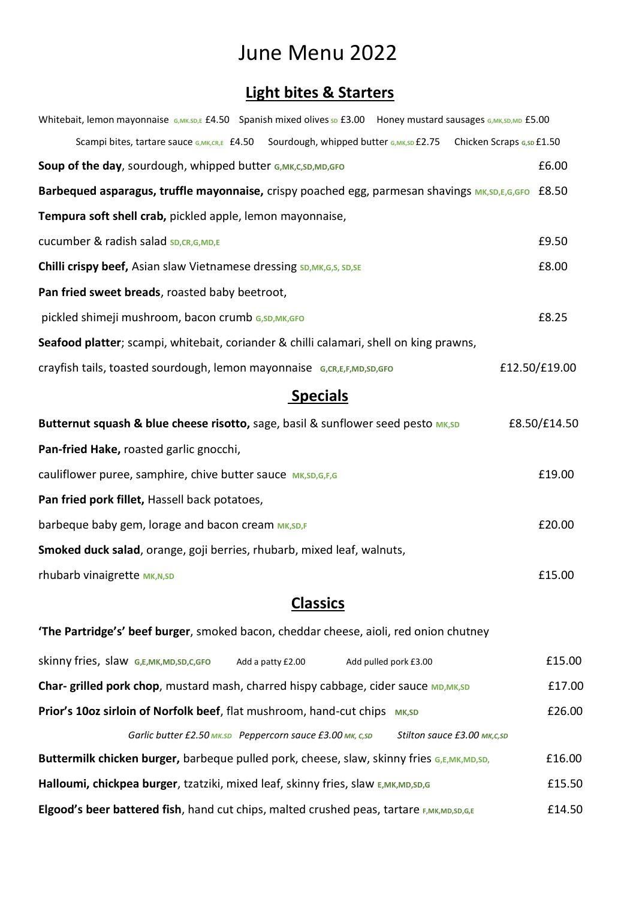# June Menu 2022

#### **Light bites & Starters**

| Whitebait, lemon mayonnaise G,MK.SD,E £4.50 Spanish mixed olives sp £3.00 Honey mustard sausages G,MK,SD,MD £5.00     |               |
|-----------------------------------------------------------------------------------------------------------------------|---------------|
| Scampi bites, tartare sauce G, MK, CR, E 4.50 Sourdough, whipped butter G, MK, SD £2.75<br>Chicken Scraps G, sp £1.50 |               |
| Soup of the day, sourdough, whipped butter G, MK, C, SD, MD, GFO                                                      | £6.00         |
| Barbequed asparagus, truffle mayonnaise, crispy poached egg, parmesan shavings MK,SD,E,G,GFO £8.50                    |               |
| Tempura soft shell crab, pickled apple, lemon mayonnaise,                                                             |               |
| CUCUMber & radish salad SD, CR, G, MD, E                                                                              | £9.50         |
| Chilli crispy beef, Asian slaw Vietnamese dressing SD, MK, G, S, SD, SE                                               | £8.00         |
| Pan fried sweet breads, roasted baby beetroot,                                                                        |               |
| pickled shimeji mushroom, bacon crumb G,SD, МК, GFO                                                                   | £8.25         |
| Seafood platter; scampi, whitebait, coriander & chilli calamari, shell on king prawns,                                |               |
| crayfish tails, toasted sourdough, lemon mayonnaise G,CR,E,F,MD,SD,GFO                                                | £12.50/£19.00 |
| <b>Specials</b>                                                                                                       |               |
| <b>Butternut squash &amp; blue cheese risotto, sage, basil &amp; sunflower seed pesto MK,SD</b>                       | £8.50/£14.50  |
| Pan-fried Hake, roasted garlic gnocchi,                                                                               |               |
| cauliflower puree, samphire, chive butter sauce MK, SD, G, F, G                                                       | £19.00        |
| Pan fried pork fillet, Hassell back potatoes,                                                                         |               |
| barbeque baby gem, lorage and bacon cream MK, SD, F                                                                   | £20.00        |
| Smoked duck salad, orange, goji berries, rhubarb, mixed leaf, walnuts,                                                |               |
| rhubarb vinaigrette MK, N, SD                                                                                         | £15.00        |

#### **Classics**

| 'The Partridge's' beef burger, smoked bacon, cheddar cheese, aioli, red onion chutney                 |                                                           |                       |                               |        |
|-------------------------------------------------------------------------------------------------------|-----------------------------------------------------------|-----------------------|-------------------------------|--------|
| Skinny fries, slaw G,E,MK,MD,SD,C,GFO                                                                 | Add a patty £2.00                                         | Add pulled pork £3.00 |                               | £15.00 |
| Char-grilled pork chop, mustard mash, charred hispy cabbage, cider sauce MD, MK, SD                   |                                                           |                       |                               | £17.00 |
| Prior's 10oz sirloin of Norfolk beef, flat mushroom, hand-cut chips MK,SD                             |                                                           |                       |                               | £26.00 |
|                                                                                                       | Garlic butter £2.50 MK.SD Peppercorn sauce £3.00 MK, C,SD |                       | Stilton sauce £3.00 MK, c, SD |        |
| Buttermilk chicken burger, barbeque pulled pork, cheese, slaw, skinny fries G,E,MK,MD,SD,             |                                                           |                       |                               | £16.00 |
| Halloumi, chickpea burger, tzatziki, mixed leaf, skinny fries, slaw E, MK, MD, SD, G                  |                                                           |                       |                               | £15.50 |
| <b>Elgood's beer battered fish,</b> hand cut chips, malted crushed peas, tartare $F_nMK_nMD_nS_DG_nE$ |                                                           |                       |                               | £14.50 |